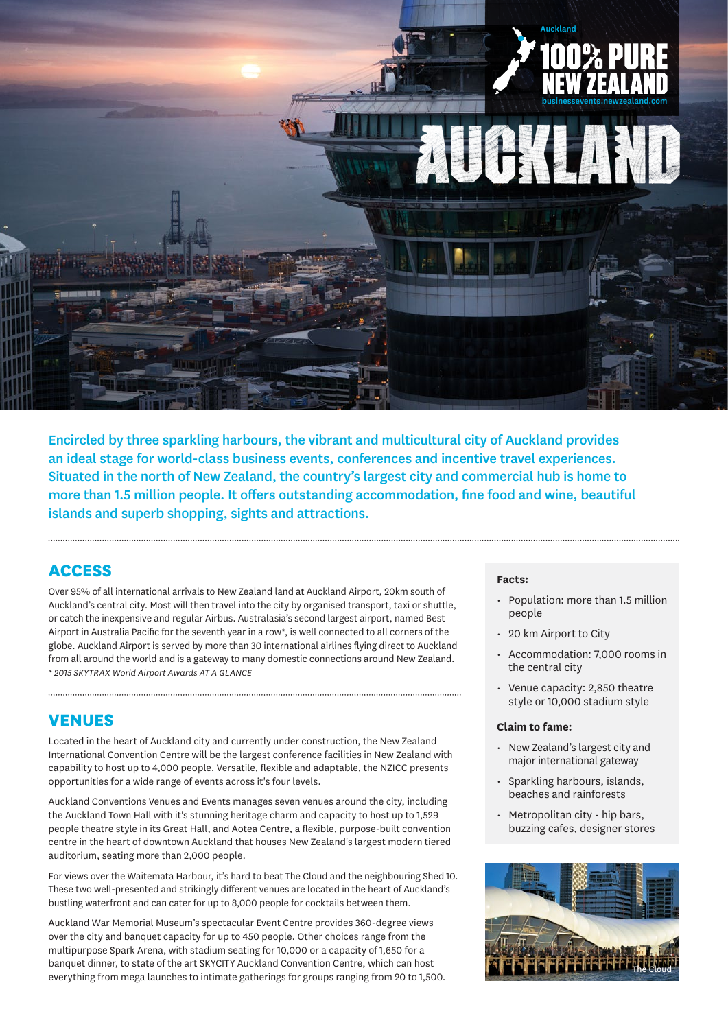

Encircled by three sparkling harbours, the vibrant and multicultural city of Auckland provides an ideal stage for world-class business events, conferences and incentive travel experiences. Situated in the north of New Zealand, the country's largest city and commercial hub is home to more than 1.5 million people. It offers outstanding accommodation, fine food and wine, beautiful islands and superb shopping, sights and attractions.

### **ACCESS**

Over 95% of all international arrivals to New Zealand land at Auckland Airport, 20km south of Auckland's central city. Most will then travel into the city by organised transport, taxi or shuttle, or catch the inexpensive and regular Airbus. Australasia's second largest airport, named Best Airport in Australia Pacific for the seventh year in a row\*, is well connected to all corners of the globe. Auckland Airport is served by more than 30 international airlines flying direct to Auckland from all around the world and is a gateway to many domestic connections around New Zealand. *\* 2015 SKYTRAX World Airport Awards AT A GLANCE*

# **VENUES**

Located in the heart of Auckland city and currently under construction, the New Zealand International Convention Centre will be the largest conference facilities in New Zealand with capability to host up to 4,000 people. Versatile, flexible and adaptable, the NZICC presents opportunities for a wide range of events across it's four levels.

Auckland Conventions Venues and Events manages seven venues around the city, including the Auckland Town Hall with it's stunning heritage charm and capacity to host up to 1,529 people theatre style in its Great Hall, and Aotea Centre, a flexible, purpose-built convention centre in the heart of downtown Auckland that houses New Zealand's largest modern tiered auditorium, seating more than 2,000 people.

For views over the Waitemata Harbour, it's hard to beat The Cloud and the neighbouring Shed 10. These two well-presented and strikingly different venues are located in the heart of Auckland's bustling waterfront and can cater for up to 8,000 people for cocktails between them.

Auckland War Memorial Museum's spectacular Event Centre provides 360-degree views over the city and banquet capacity for up to 450 people. Other choices range from the multipurpose Spark Arena, with stadium seating for 10,000 or a capacity of 1,650 for a banquet dinner, to state of the art SKYCITY Auckland Convention Centre, which can host everything from mega launches to intimate gatherings for groups ranging from 20 to 1,500.

#### **Facts:**

- Population: more than 1.5 million people
- 20 km Airport to City
- Accommodation: 7,000 rooms in the central city
- Venue capacity: 2,850 theatre style or 10,000 stadium style

#### **Claim to fame:**

- New Zealand's largest city and major international gateway
- Sparkling harbours, islands, beaches and rainforests
- Metropolitan city hip bars, buzzing cafes, designer stores